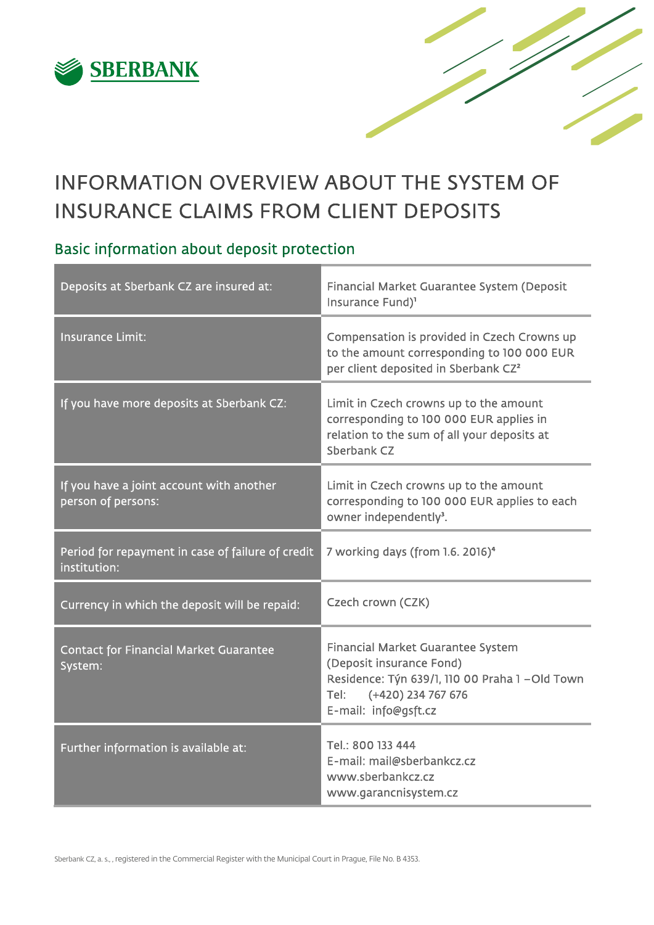

# INFORMATION OVERVIEW ABOUT THE SYSTEM OF INSURANCE CLAIMS FROM CLIENT DEPOSITS

# Basic information about deposit protection

| Deposits at Sberbank CZ are insured at:                           | Financial Market Guarantee System (Deposit<br>Insurance Fund) <sup>1</sup>                                                                                                    |
|-------------------------------------------------------------------|-------------------------------------------------------------------------------------------------------------------------------------------------------------------------------|
| <b>Insurance Limit:</b>                                           | Compensation is provided in Czech Crowns up<br>to the amount corresponding to 100 000 EUR<br>per client deposited in Sberbank CZ <sup>2</sup>                                 |
| If you have more deposits at Sberbank CZ:                         | Limit in Czech crowns up to the amount<br>corresponding to 100 000 EUR applies in<br>relation to the sum of all your deposits at<br>Sberbank CZ                               |
| If you have a joint account with another<br>person of persons:    | Limit in Czech crowns up to the amount<br>corresponding to 100 000 EUR applies to each<br>owner independently <sup>3</sup> .                                                  |
| Period for repayment in case of failure of credit<br>institution: | 7 working days (from 1.6. 2016) <sup>4</sup>                                                                                                                                  |
| Currency in which the deposit will be repaid:                     | Czech crown (CZK)                                                                                                                                                             |
| <b>Contact for Financial Market Guarantee</b><br>System:          | <b>Financial Market Guarantee System</b><br>(Deposit insurance Fond)<br>Residence: Týn 639/1, 110 00 Praha 1 - Old Town<br>(+420) 234 767 676<br>Tel:<br>E-mail: info@gsft.cz |
| Further information is available at:                              | Tel.: 800 133 444<br>E-mail: mail@sberbankcz.cz<br>www.sberbankcz.cz<br>www.garancnisystem.cz                                                                                 |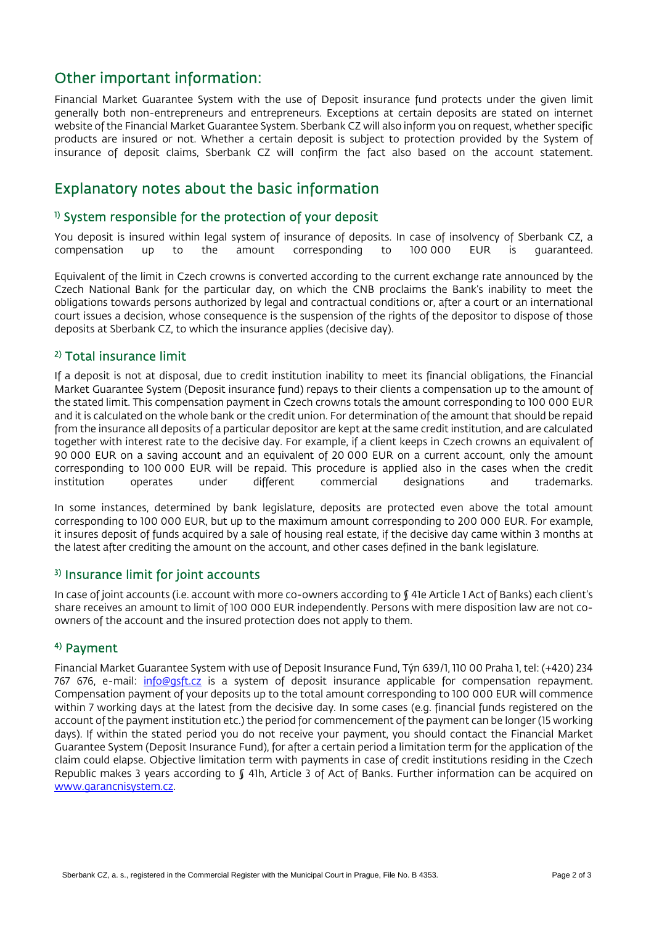# Other important information:

Financial Market Guarantee System with the use of Deposit insurance fund protects under the given limit generally both non-entrepreneurs and entrepreneurs. Exceptions at certain deposits are stated on internet website of the Financial Market Guarantee System. Sberbank CZ will also inform you on request, whether specific products are insured or not. Whether a certain deposit is subject to protection provided by the System of insurance of deposit claims, Sberbank CZ will confirm the fact also based on the account statement.

### Explanatory notes about the basic information

#### <sup>1)</sup> System responsible for the protection of your deposit

You deposit is insured within legal system of insurance of deposits. In case of insolvency of Sberbank CZ, a compensation up to the amount corresponding to 100 000 EUR is guaranteed.

Equivalent of the limit in Czech crowns is converted according to the current exchange rate announced by the Czech National Bank for the particular day, on which the CNB proclaims the Bank's inability to meet the obligations towards persons authorized by legal and contractual conditions or, after a court or an international court issues a decision, whose consequence is the suspension of the rights of the depositor to dispose of those deposits at Sberbank CZ, to which the insurance applies (decisive day).

#### 2) Total insurance limit

If a deposit is not at disposal, due to credit institution inability to meet its financial obligations, the Financial Market Guarantee System (Deposit insurance fund) repays to their clients a compensation up to the amount of the stated limit. This compensation payment in Czech crowns totals the amount corresponding to 100 000 EUR and it is calculated on the whole bank or the credit union. For determination of the amount that should be repaid from the insurance all deposits of a particular depositor are kept at the same credit institution, and are calculated together with interest rate to the decisive day. For example, if a client keeps in Czech crowns an equivalent of 90 000 EUR on a saving account and an equivalent of 20 000 EUR on a current account, only the amount corresponding to 100 000 EUR will be repaid. This procedure is applied also in the cases when the credit institution operates under different commercial designations and trademarks. institution operates under different commercial designations and trademarks.

In some instances, determined by bank legislature, deposits are protected even above the total amount corresponding to 100 000 EUR, but up to the maximum amount corresponding to 200 000 EUR. For example, it insures deposit of funds acquired by a sale of housing real estate, if the decisive day came within 3 months at the latest after crediting the amount on the account, and other cases defined in the bank legislature.

#### 3) Insurance limit for joint accounts

In case of joint accounts (i.e. account with more co-owners according to §41e Article 1 Act of Banks) each client's share receives an amount to limit of 100 000 EUR independently. Persons with mere disposition law are not coowners of the account and the insured protection does not apply to them.

#### 4) Payment

Financial Market Guarantee System with use of Deposit Insurance Fund, Týn 639/1, 110 00 Praha 1, tel: (+420) 234 767 676, e-mail: info@gsft.cz is a system of deposit insurance applicable for compensation repayment. Compensation payment of your deposits up to the total amount corresponding to 100 000 EUR will commence within 7 working days at the latest from the decisive day. In some cases (e.g. financial funds registered on the account of the payment institution etc.) the period for commencement of the payment can be longer (15 working days). If within the stated period you do not receive your payment, you should contact the Financial Market Guarantee System (Deposit Insurance Fund), for after a certain period a limitation term for the application of the claim could elapse. Objective limitation term with payments in case of credit institutions residing in the Czech Republic makes 3 years according to § 41h, Article 3 of Act of Banks. Further information can be acquired on www.garancnisystem.cz.